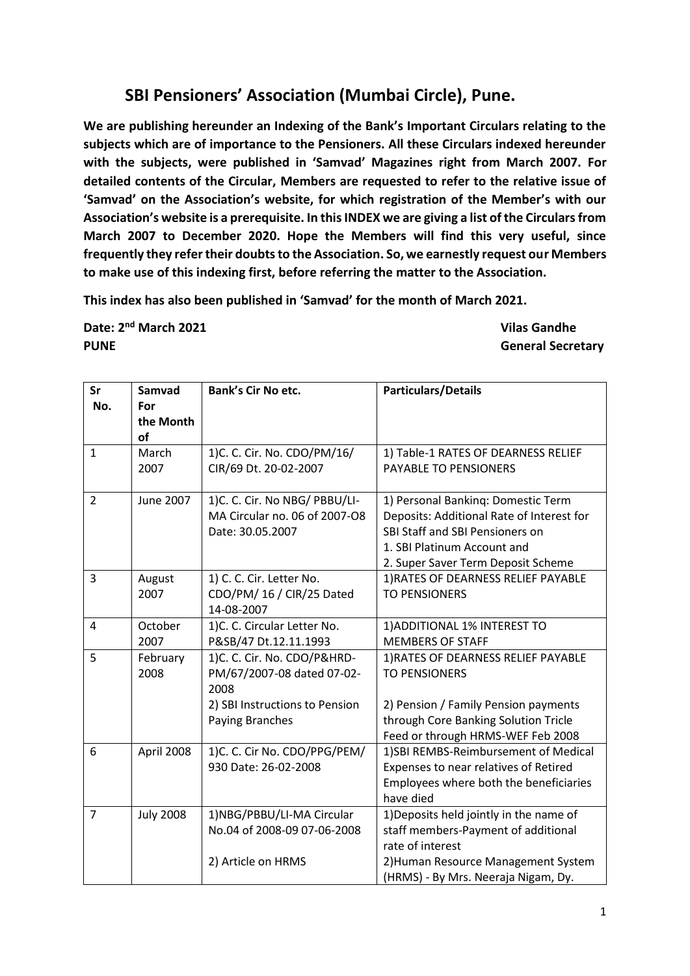## **SBI Pensioners' Association (Mumbai Circle), Pune.**

**We are publishing hereunder an Indexing of the Bank's Important Circulars relating to the subjects which are of importance to the Pensioners. All these Circulars indexed hereunder with the subjects, were published in 'Samvad' Magazines right from March 2007. For detailed contents of the Circular, Members are requested to refer to the relative issue of 'Samvad' on the Association's website, for which registration of the Member's with our Association's website is a prerequisite. In this INDEX we are giving a list of the Circulars from March 2007 to December 2020. Hope the Members will find this very useful, since frequently they refer their doubts to the Association. So, we earnestly request our Members to make use of this indexing first, before referring the matter to the Association.**

**This index has also been published in 'Samvad' for the month of March 2021.** 

**Date: 2nd March 2021 Vilas Gandhe PUNE General Secretary**

| Sr<br>No.      | Samvad<br>For<br>the Month | <b>Bank's Cir No etc.</b>              | <b>Particulars/Details</b>                |
|----------------|----------------------------|----------------------------------------|-------------------------------------------|
|                | of                         |                                        |                                           |
| $\mathbf{1}$   | March                      | 1) C. C. Cir. No. CDO/PM/16/           | 1) Table-1 RATES OF DEARNESS RELIEF       |
|                | 2007                       | CIR/69 Dt. 20-02-2007                  | PAYABLE TO PENSIONERS                     |
| $\overline{2}$ | June 2007                  | 1)C. C. Cir. No NBG/ PBBU/LI-          | 1) Personal Banking: Domestic Term        |
|                |                            | MA Circular no. 06 of 2007-O8          | Deposits: Additional Rate of Interest for |
|                |                            | Date: 30.05.2007                       | <b>SBI Staff and SBI Pensioners on</b>    |
|                |                            |                                        | 1. SBI Platinum Account and               |
|                |                            |                                        | 2. Super Saver Term Deposit Scheme        |
| 3              | August                     | 1) C. C. Cir. Letter No.               | 1) RATES OF DEARNESS RELIEF PAYABLE       |
|                | 2007                       | CDO/PM/16 / CIR/25 Dated<br>14-08-2007 | <b>TO PENSIONERS</b>                      |
| $\overline{4}$ | October                    | 1)C. C. Circular Letter No.            | 1) ADDITIONAL 1% INTEREST TO              |
|                | 2007                       | P&SB/47 Dt.12.11.1993                  | <b>MEMBERS OF STAFF</b>                   |
| 5              | February                   | 1)C. C. Cir. No. CDO/P&HRD-            | 1) RATES OF DEARNESS RELIEF PAYABLE       |
|                | 2008                       | PM/67/2007-08 dated 07-02-<br>2008     | <b>TO PENSIONERS</b>                      |
|                |                            | 2) SBI Instructions to Pension         | 2) Pension / Family Pension payments      |
|                |                            | Paying Branches                        | through Core Banking Solution Tricle      |
|                |                            |                                        | Feed or through HRMS-WEF Feb 2008         |
| 6              | April 2008                 | 1)C. C. Cir No. CDO/PPG/PEM/           | 1)SBI REMBS-Reimbursement of Medical      |
|                |                            | 930 Date: 26-02-2008                   | Expenses to near relatives of Retired     |
|                |                            |                                        | Employees where both the beneficiaries    |
|                |                            |                                        | have died                                 |
| $\overline{7}$ | <b>July 2008</b>           | 1)NBG/PBBU/LI-MA Circular              | 1) Deposits held jointly in the name of   |
|                |                            | No.04 of 2008-09 07-06-2008            | staff members-Payment of additional       |
|                |                            |                                        | rate of interest                          |
|                |                            | 2) Article on HRMS                     | 2) Human Resource Management System       |
|                |                            |                                        | (HRMS) - By Mrs. Neeraja Nigam, Dy.       |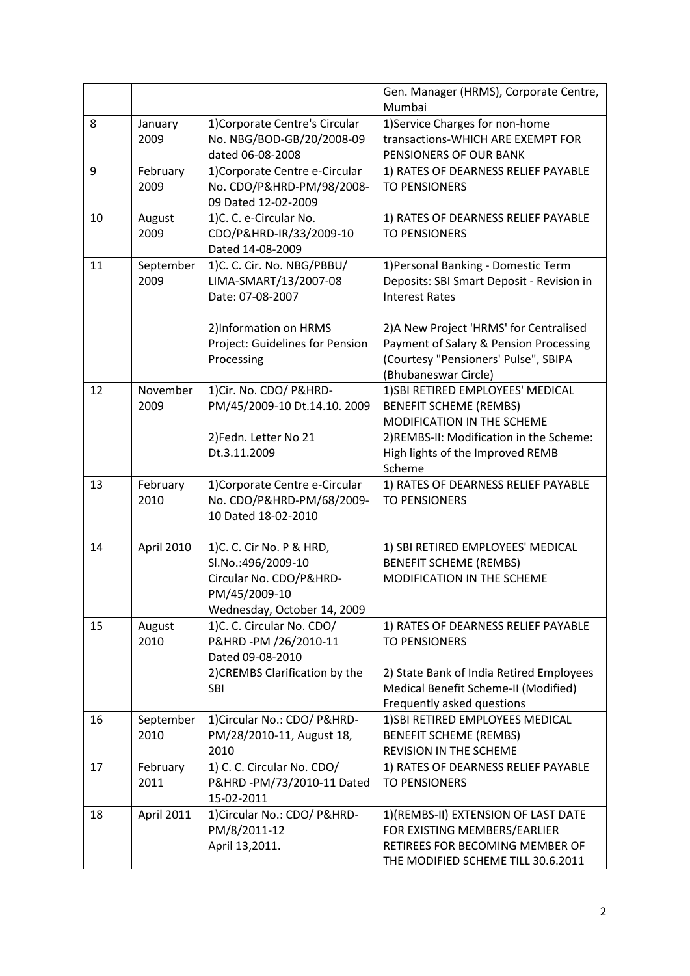|    |                   |                                                           | Gen. Manager (HRMS), Corporate Centre,<br>Mumbai                    |
|----|-------------------|-----------------------------------------------------------|---------------------------------------------------------------------|
| 8  | January           | 1) Corporate Centre's Circular                            | 1) Service Charges for non-home                                     |
|    | 2009              | No. NBG/BOD-GB/20/2008-09<br>dated 06-08-2008             | transactions-WHICH ARE EXEMPT FOR<br>PENSIONERS OF OUR BANK         |
| 9  | February          | 1) Corporate Centre e-Circular                            | 1) RATES OF DEARNESS RELIEF PAYABLE                                 |
|    | 2009              | No. CDO/P&HRD-PM/98/2008-<br>09 Dated 12-02-2009          | <b>TO PENSIONERS</b>                                                |
| 10 | August            | 1)C. C. e-Circular No.                                    | 1) RATES OF DEARNESS RELIEF PAYABLE                                 |
|    | 2009              | CDO/P&HRD-IR/33/2009-10<br>Dated 14-08-2009               | <b>TO PENSIONERS</b>                                                |
| 11 | September         | 1)C. C. Cir. No. NBG/PBBU/                                | 1) Personal Banking - Domestic Term                                 |
|    | 2009              | LIMA-SMART/13/2007-08<br>Date: 07-08-2007                 | Deposits: SBI Smart Deposit - Revision in<br><b>Interest Rates</b>  |
|    |                   | 2)Information on HRMS                                     | 2) A New Project 'HRMS' for Centralised                             |
|    |                   | Project: Guidelines for Pension                           | Payment of Salary & Pension Processing                              |
|    |                   | Processing                                                | (Courtesy "Pensioners' Pulse", SBIPA<br>(Bhubaneswar Circle)        |
| 12 | November          | 1) Cir. No. CDO/ P&HRD-                                   | 1) SBI RETIRED EMPLOYEES' MEDICAL                                   |
|    | 2009              | PM/45/2009-10 Dt.14.10. 2009                              | <b>BENEFIT SCHEME (REMBS)</b>                                       |
|    |                   |                                                           | MODIFICATION IN THE SCHEME                                          |
|    |                   | 2) Fedn. Letter No 21<br>Dt.3.11.2009                     | 2) REMBS-II: Modification in the Scheme:                            |
|    |                   |                                                           | High lights of the Improved REMB<br>Scheme                          |
| 13 | February          | 1) Corporate Centre e-Circular                            | 1) RATES OF DEARNESS RELIEF PAYABLE                                 |
|    | 2010              | No. CDO/P&HRD-PM/68/2009-<br>10 Dated 18-02-2010          | <b>TO PENSIONERS</b>                                                |
|    |                   |                                                           |                                                                     |
| 14 | April 2010        | 1) C. C. Cir No. P & HRD,                                 | 1) SBI RETIRED EMPLOYEES' MEDICAL                                   |
|    |                   | Sl.No.:496/2009-10<br>Circular No. CDO/P&HRD-             | <b>BENEFIT SCHEME (REMBS)</b><br>MODIFICATION IN THE SCHEME         |
|    |                   | PM/45/2009-10                                             |                                                                     |
|    |                   | Wednesday, October 14, 2009                               |                                                                     |
| 15 | August            | 1)C. C. Circular No. CDO/                                 | 1) RATES OF DEARNESS RELIEF PAYABLE                                 |
|    | 2010              | P&HRD-PM /26/2010-11<br>Dated 09-08-2010                  | <b>TO PENSIONERS</b>                                                |
|    |                   | 2) CREMBS Clarification by the                            | 2) State Bank of India Retired Employees                            |
|    |                   | <b>SBI</b>                                                | Medical Benefit Scheme-II (Modified)                                |
|    |                   |                                                           | Frequently asked questions                                          |
| 16 | September<br>2010 | 1) Circular No.: CDO/ P&HRD-<br>PM/28/2010-11, August 18, | 1) SBI RETIRED EMPLOYEES MEDICAL<br><b>BENEFIT SCHEME (REMBS)</b>   |
|    |                   | 2010                                                      | <b>REVISION IN THE SCHEME</b>                                       |
| 17 | February          | 1) C. C. Circular No. CDO/                                | 1) RATES OF DEARNESS RELIEF PAYABLE                                 |
|    | 2011              | P&HRD-PM/73/2010-11 Dated                                 | <b>TO PENSIONERS</b>                                                |
|    |                   | 15-02-2011                                                |                                                                     |
| 18 | April 2011        | 1) Circular No.: CDO/ P&HRD-<br>PM/8/2011-12              | 1)(REMBS-II) EXTENSION OF LAST DATE<br>FOR EXISTING MEMBERS/EARLIER |
|    |                   | April 13,2011.                                            | RETIREES FOR BECOMING MEMBER OF                                     |
|    |                   |                                                           | THE MODIFIED SCHEME TILL 30.6.2011                                  |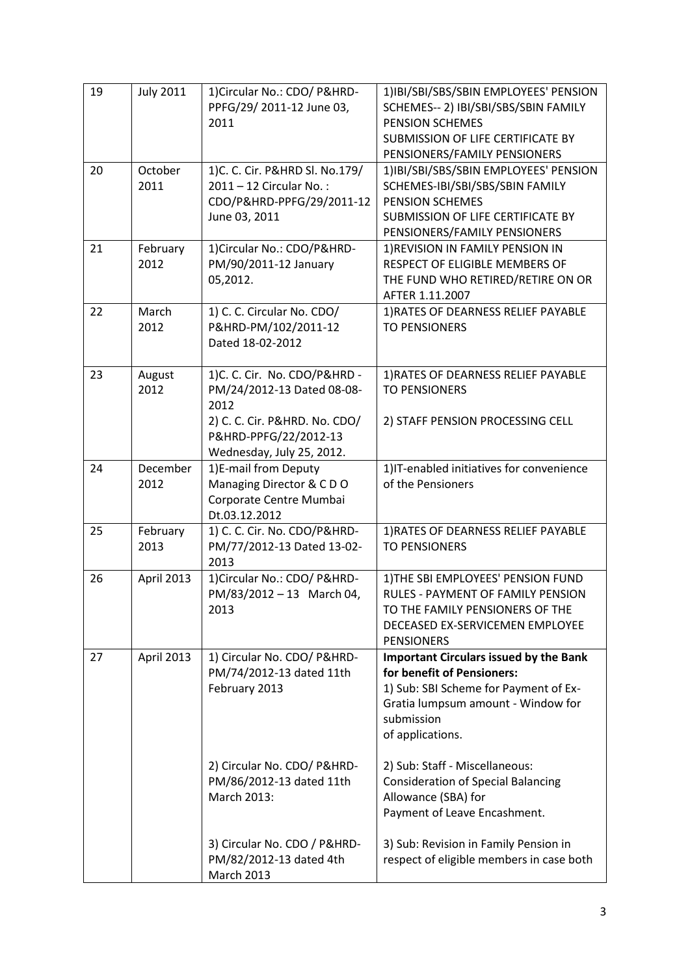| 19 | <b>July 2011</b> | 1) Circular No.: CDO/ P&HRD-<br>PPFG/29/ 2011-12 June 03,<br>2011                                                                                         | 1) IBI/SBI/SBS/SBIN EMPLOYEES' PENSION<br>SCHEMES-- 2) IBI/SBI/SBS/SBIN FAMILY<br><b>PENSION SCHEMES</b><br>SUBMISSION OF LIFE CERTIFICATE BY<br>PENSIONERS/FAMILY PENSIONERS                |
|----|------------------|-----------------------------------------------------------------------------------------------------------------------------------------------------------|----------------------------------------------------------------------------------------------------------------------------------------------------------------------------------------------|
| 20 | October<br>2011  | 1) C. C. Cir. P&HRD Sl. No.179/<br>2011 - 12 Circular No.:<br>CDO/P&HRD-PPFG/29/2011-12<br>June 03, 2011                                                  | 1)IBI/SBI/SBS/SBIN EMPLOYEES' PENSION<br>SCHEMES-IBI/SBI/SBS/SBIN FAMILY<br><b>PENSION SCHEMES</b><br>SUBMISSION OF LIFE CERTIFICATE BY<br>PENSIONERS/FAMILY PENSIONERS                      |
| 21 | February<br>2012 | 1) Circular No.: CDO/P&HRD-<br>PM/90/2011-12 January<br>05,2012.                                                                                          | 1) REVISION IN FAMILY PENSION IN<br>RESPECT OF ELIGIBLE MEMBERS OF<br>THE FUND WHO RETIRED/RETIRE ON OR<br>AFTER 1.11.2007                                                                   |
| 22 | March<br>2012    | 1) C. C. Circular No. CDO/<br>P&HRD-PM/102/2011-12<br>Dated 18-02-2012                                                                                    | 1) RATES OF DEARNESS RELIEF PAYABLE<br><b>TO PENSIONERS</b>                                                                                                                                  |
| 23 | August<br>2012   | 1)C. C. Cir. No. CDO/P&HRD -<br>PM/24/2012-13 Dated 08-08-<br>2012<br>2) C. C. Cir. P&HRD. No. CDO/<br>P&HRD-PPFG/22/2012-13<br>Wednesday, July 25, 2012. | 1) RATES OF DEARNESS RELIEF PAYABLE<br><b>TO PENSIONERS</b><br>2) STAFF PENSION PROCESSING CELL                                                                                              |
| 24 | December<br>2012 | 1)E-mail from Deputy<br>Managing Director & CDO<br>Corporate Centre Mumbai<br>Dt.03.12.2012                                                               | 1) IT-enabled initiatives for convenience<br>of the Pensioners                                                                                                                               |
| 25 | February<br>2013 | 1) C. C. Cir. No. CDO/P&HRD-<br>PM/77/2012-13 Dated 13-02-<br>2013                                                                                        | 1) RATES OF DEARNESS RELIEF PAYABLE<br><b>TO PENSIONERS</b>                                                                                                                                  |
| 26 | April 2013       | 1) Circular No.: CDO/ P&HRD-<br>PM/83/2012-13 March 04,<br>2013                                                                                           | 1) THE SBI EMPLOYEES' PENSION FUND<br>RULES - PAYMENT OF FAMILY PENSION<br>TO THE FAMILY PENSIONERS OF THE<br>DECEASED EX-SERVICEMEN EMPLOYEE<br><b>PENSIONERS</b>                           |
| 27 | April 2013       | 1) Circular No. CDO/ P&HRD-<br>PM/74/2012-13 dated 11th<br>February 2013                                                                                  | <b>Important Circulars issued by the Bank</b><br>for benefit of Pensioners:<br>1) Sub: SBI Scheme for Payment of Ex-<br>Gratia lumpsum amount - Window for<br>submission<br>of applications. |
|    |                  | 2) Circular No. CDO/ P&HRD-<br>PM/86/2012-13 dated 11th<br>March 2013:                                                                                    | 2) Sub: Staff - Miscellaneous:<br><b>Consideration of Special Balancing</b><br>Allowance (SBA) for<br>Payment of Leave Encashment.                                                           |
|    |                  | 3) Circular No. CDO / P&HRD-<br>PM/82/2012-13 dated 4th<br><b>March 2013</b>                                                                              | 3) Sub: Revision in Family Pension in<br>respect of eligible members in case both                                                                                                            |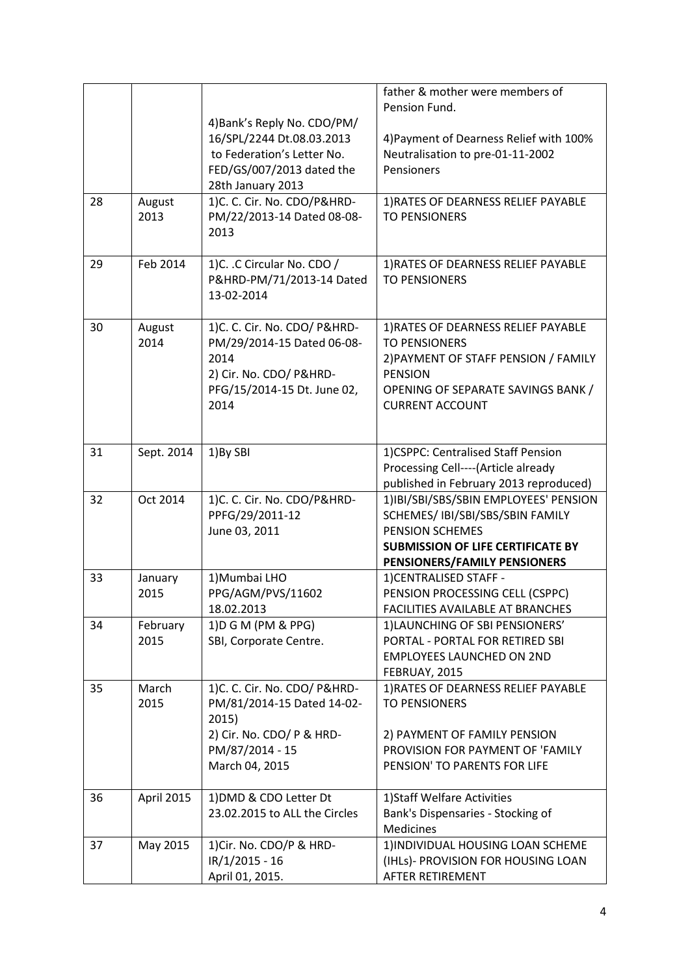|    |                  | 4) Bank's Reply No. CDO/PM/                                                                                                           | father & mother were members of<br>Pension Fund.                                                                                                                                      |
|----|------------------|---------------------------------------------------------------------------------------------------------------------------------------|---------------------------------------------------------------------------------------------------------------------------------------------------------------------------------------|
|    |                  | 16/SPL/2244 Dt.08.03.2013<br>to Federation's Letter No.<br>FED/GS/007/2013 dated the<br>28th January 2013                             | 4) Payment of Dearness Relief with 100%<br>Neutralisation to pre-01-11-2002<br>Pensioners                                                                                             |
| 28 | August<br>2013   | 1)C. C. Cir. No. CDO/P&HRD-<br>PM/22/2013-14 Dated 08-08-<br>2013                                                                     | 1) RATES OF DEARNESS RELIEF PAYABLE<br><b>TO PENSIONERS</b>                                                                                                                           |
| 29 | Feb 2014         | 1)C. .C Circular No. CDO /<br>P&HRD-PM/71/2013-14 Dated<br>13-02-2014                                                                 | 1) RATES OF DEARNESS RELIEF PAYABLE<br><b>TO PENSIONERS</b>                                                                                                                           |
| 30 | August<br>2014   | 1)C. C. Cir. No. CDO/ P&HRD-<br>PM/29/2014-15 Dated 06-08-<br>2014<br>2) Cir. No. CDO/ P&HRD-<br>PFG/15/2014-15 Dt. June 02,<br>2014  | 1) RATES OF DEARNESS RELIEF PAYABLE<br><b>TO PENSIONERS</b><br>2) PAYMENT OF STAFF PENSION / FAMILY<br><b>PENSION</b><br>OPENING OF SEPARATE SAVINGS BANK /<br><b>CURRENT ACCOUNT</b> |
| 31 | Sept. 2014       | 1) By SBI                                                                                                                             | 1)CSPPC: Centralised Staff Pension<br>Processing Cell----(Article already<br>published in February 2013 reproduced)                                                                   |
| 32 | Oct 2014         | 1)C. C. Cir. No. CDO/P&HRD-<br>PPFG/29/2011-12<br>June 03, 2011                                                                       | 1)IBI/SBI/SBS/SBIN EMPLOYEES' PENSION<br>SCHEMES/ IBI/SBI/SBS/SBIN FAMILY<br><b>PENSION SCHEMES</b><br><b>SUBMISSION OF LIFE CERTIFICATE BY</b><br>PENSIONERS/FAMILY PENSIONERS       |
| 33 | January<br>2015  | 1) Mumbai LHO<br>PPG/AGM/PVS/11602<br>18.02.2013                                                                                      | 1) CENTRALISED STAFF -<br>PENSION PROCESSING CELL (CSPPC)<br><b>FACILITIES AVAILABLE AT BRANCHES</b>                                                                                  |
| 34 | February<br>2015 | 1) D G M (PM & PPG)<br>SBI, Corporate Centre.                                                                                         | 1) LAUNCHING OF SBI PENSIONERS'<br>PORTAL - PORTAL FOR RETIRED SBI<br><b>EMPLOYEES LAUNCHED ON 2ND</b><br>FEBRUAY, 2015                                                               |
| 35 | March<br>2015    | 1)C. C. Cir. No. CDO/ P&HRD-<br>PM/81/2014-15 Dated 14-02-<br>2015)<br>2) Cir. No. CDO/ P & HRD-<br>PM/87/2014 - 15<br>March 04, 2015 | 1) RATES OF DEARNESS RELIEF PAYABLE<br><b>TO PENSIONERS</b><br>2) PAYMENT OF FAMILY PENSION<br>PROVISION FOR PAYMENT OF 'FAMILY<br>PENSION' TO PARENTS FOR LIFE                       |
| 36 | April 2015       | 1) DMD & CDO Letter Dt<br>23.02.2015 to ALL the Circles                                                                               | 1) Staff Welfare Activities<br>Bank's Dispensaries - Stocking of<br><b>Medicines</b>                                                                                                  |
| 37 | May 2015         | 1) Cir. No. CDO/P & HRD-<br>IR/1/2015 - 16<br>April 01, 2015.                                                                         | 1) INDIVIDUAL HOUSING LOAN SCHEME<br>(IHLs)- PROVISION FOR HOUSING LOAN<br>AFTER RETIREMENT                                                                                           |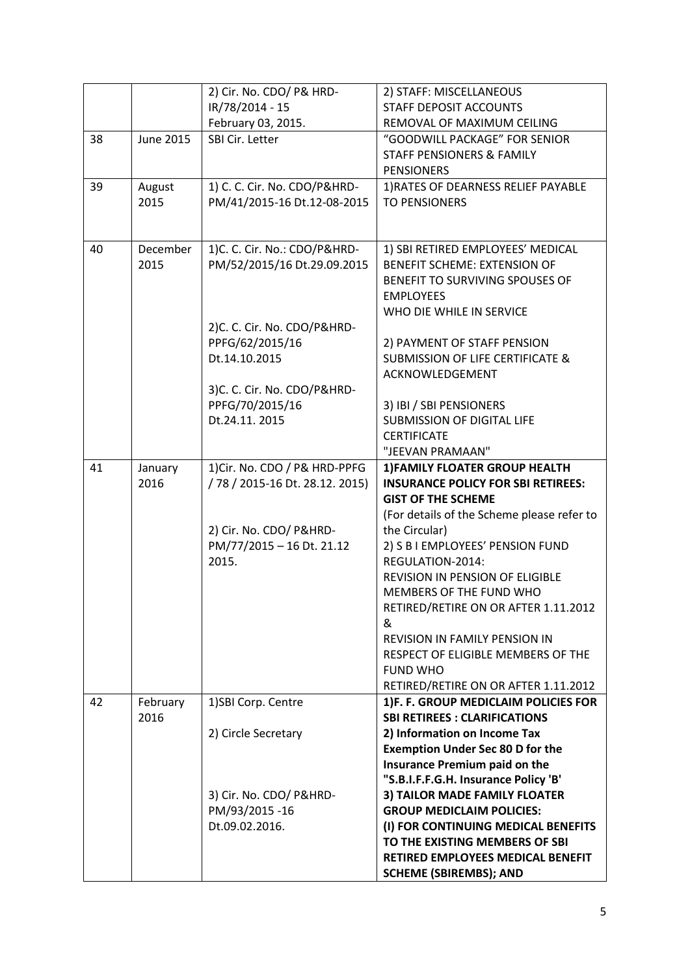|    |                 | 2) Cir. No. CDO/ P& HRD-                                        | 2) STAFF: MISCELLANEOUS                                                     |
|----|-----------------|-----------------------------------------------------------------|-----------------------------------------------------------------------------|
|    |                 | IR/78/2014 - 15                                                 | <b>STAFF DEPOSIT ACCOUNTS</b>                                               |
|    |                 | February 03, 2015.                                              | REMOVAL OF MAXIMUM CEILING                                                  |
| 38 | June 2015       | SBI Cir. Letter                                                 | "GOODWILL PACKAGE" FOR SENIOR                                               |
|    |                 |                                                                 | <b>STAFF PENSIONERS &amp; FAMILY</b>                                        |
|    |                 |                                                                 | <b>PENSIONERS</b>                                                           |
| 39 | August          | 1) C. C. Cir. No. CDO/P&HRD-                                    | 1) RATES OF DEARNESS RELIEF PAYABLE                                         |
|    | 2015            | PM/41/2015-16 Dt.12-08-2015                                     | <b>TO PENSIONERS</b>                                                        |
|    |                 |                                                                 |                                                                             |
| 40 | December        | 1)C. C. Cir. No.: CDO/P&HRD-                                    | 1) SBI RETIRED EMPLOYEES' MEDICAL                                           |
|    | 2015            | PM/52/2015/16 Dt.29.09.2015                                     | <b>BENEFIT SCHEME: EXTENSION OF</b>                                         |
|    |                 |                                                                 | BENEFIT TO SURVIVING SPOUSES OF                                             |
|    |                 |                                                                 | <b>EMPLOYEES</b>                                                            |
|    |                 |                                                                 | WHO DIE WHILE IN SERVICE                                                    |
|    |                 | 2)C. C. Cir. No. CDO/P&HRD-                                     |                                                                             |
|    |                 | PPFG/62/2015/16                                                 | 2) PAYMENT OF STAFF PENSION                                                 |
|    |                 | Dt.14.10.2015                                                   | <b>SUBMISSION OF LIFE CERTIFICATE &amp;</b>                                 |
|    |                 |                                                                 | ACKNOWLEDGEMENT                                                             |
|    |                 | 3)C. C. Cir. No. CDO/P&HRD-                                     |                                                                             |
|    |                 | PPFG/70/2015/16                                                 | 3) IBI / SBI PENSIONERS                                                     |
|    |                 | Dt.24.11. 2015                                                  | <b>SUBMISSION OF DIGITAL LIFE</b>                                           |
|    |                 |                                                                 | <b>CERTIFICATE</b>                                                          |
|    |                 |                                                                 | "JEEVAN PRAMAAN"                                                            |
| 41 | January<br>2016 | 1) Cir. No. CDO / P& HRD-PPFG<br>/78 / 2015-16 Dt. 28.12. 2015) | 1) FAMILY FLOATER GROUP HEALTH<br><b>INSURANCE POLICY FOR SBI RETIREES:</b> |
|    |                 |                                                                 | <b>GIST OF THE SCHEME</b>                                                   |
|    |                 |                                                                 | (For details of the Scheme please refer to                                  |
|    |                 | 2) Cir. No. CDO/ P&HRD-                                         | the Circular)                                                               |
|    |                 | PM/77/2015 - 16 Dt. 21.12                                       | 2) S B I EMPLOYEES' PENSION FUND                                            |
|    |                 | 2015.                                                           | REGULATION-2014:                                                            |
|    |                 |                                                                 | <b>REVISION IN PENSION OF ELIGIBLE</b>                                      |
|    |                 |                                                                 | MEMBERS OF THE FUND WHO                                                     |
|    |                 |                                                                 | RETIRED/RETIRE ON OR AFTER 1.11.2012                                        |
|    |                 |                                                                 | &                                                                           |
|    |                 |                                                                 | <b>REVISION IN FAMILY PENSION IN</b>                                        |
|    |                 |                                                                 | RESPECT OF ELIGIBLE MEMBERS OF THE                                          |
|    |                 |                                                                 | <b>FUND WHO</b>                                                             |
|    |                 |                                                                 | RETIRED/RETIRE ON OR AFTER 1.11.2012                                        |
| 42 | February        | 1)SBI Corp. Centre                                              | 1)F. F. GROUP MEDICLAIM POLICIES FOR                                        |
|    | 2016            |                                                                 | <b>SBI RETIREES: CLARIFICATIONS</b>                                         |
|    |                 | 2) Circle Secretary                                             | 2) Information on Income Tax                                                |
|    |                 |                                                                 | <b>Exemption Under Sec 80 D for the</b>                                     |
|    |                 |                                                                 | Insurance Premium paid on the                                               |
|    |                 |                                                                 | "S.B.I.F.F.G.H. Insurance Policy 'B'                                        |
|    |                 | 3) Cir. No. CDO/ P&HRD-                                         | 3) TAILOR MADE FAMILY FLOATER                                               |
|    |                 | PM/93/2015-16                                                   | <b>GROUP MEDICLAIM POLICIES:</b>                                            |
|    |                 | Dt.09.02.2016.                                                  | (I) FOR CONTINUING MEDICAL BENEFITS<br>TO THE EXISTING MEMBERS OF SBI       |
|    |                 |                                                                 | RETIRED EMPLOYEES MEDICAL BENEFIT                                           |
|    |                 |                                                                 | <b>SCHEME (SBIREMBS); AND</b>                                               |
|    |                 |                                                                 |                                                                             |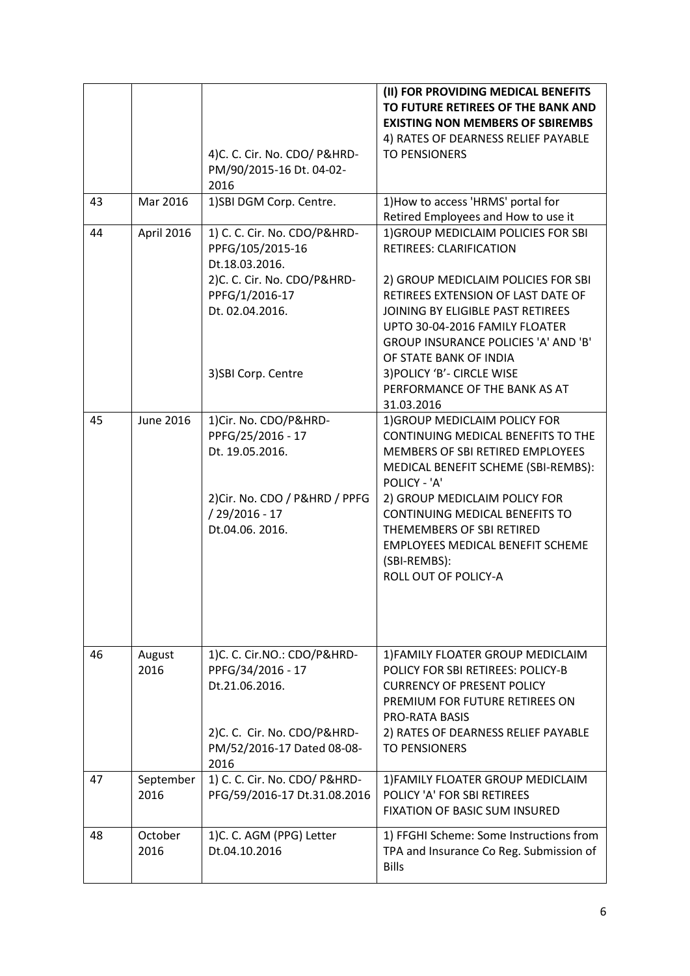|    |                   | 4)C. C. Cir. No. CDO/ P&HRD-<br>PM/90/2015-16 Dt. 04-02-<br>2016                                                                        | (II) FOR PROVIDING MEDICAL BENEFITS<br>TO FUTURE RETIREES OF THE BANK AND<br><b>EXISTING NON MEMBERS OF SBIREMBS</b><br>4) RATES OF DEARNESS RELIEF PAYABLE<br><b>TO PENSIONERS</b>                                                                                                                                                                      |
|----|-------------------|-----------------------------------------------------------------------------------------------------------------------------------------|----------------------------------------------------------------------------------------------------------------------------------------------------------------------------------------------------------------------------------------------------------------------------------------------------------------------------------------------------------|
| 43 | Mar 2016          | 1)SBI DGM Corp. Centre.                                                                                                                 | 1) How to access 'HRMS' portal for<br>Retired Employees and How to use it                                                                                                                                                                                                                                                                                |
| 44 | April 2016        | 1) C. C. Cir. No. CDO/P&HRD-<br>PPFG/105/2015-16<br>Dt.18.03.2016.<br>2)C. C. Cir. No. CDO/P&HRD-<br>PPFG/1/2016-17<br>Dt. 02.04.2016.  | 1) GROUP MEDICLAIM POLICIES FOR SBI<br><b>RETIREES: CLARIFICATION</b><br>2) GROUP MEDICLAIM POLICIES FOR SBI<br>RETIREES EXTENSION OF LAST DATE OF<br>JOINING BY ELIGIBLE PAST RETIREES<br>UPTO 30-04-2016 FAMILY FLOATER<br><b>GROUP INSURANCE POLICIES 'A' AND 'B'</b><br>OF STATE BANK OF INDIA                                                       |
|    |                   | 3) SBI Corp. Centre                                                                                                                     | 3) POLICY 'B' - CIRCLE WISE<br>PERFORMANCE OF THE BANK AS AT<br>31.03.2016                                                                                                                                                                                                                                                                               |
| 45 | <b>June 2016</b>  | 1) Cir. No. CDO/P&HRD-<br>PPFG/25/2016 - 17<br>Dt. 19.05.2016.<br>2) Cir. No. CDO / P&HRD / PPFG<br>$/29/2016 - 17$<br>Dt.04.06. 2016.  | 1) GROUP MEDICLAIM POLICY FOR<br>CONTINUING MEDICAL BENEFITS TO THE<br><b>MEMBERS OF SBI RETIRED EMPLOYEES</b><br>MEDICAL BENEFIT SCHEME (SBI-REMBS):<br>POLICY - 'A'<br>2) GROUP MEDICLAIM POLICY FOR<br>CONTINUING MEDICAL BENEFITS TO<br>THEMEMBERS OF SBI RETIRED<br><b>EMPLOYEES MEDICAL BENEFIT SCHEME</b><br>(SBI-REMBS):<br>ROLL OUT OF POLICY-A |
| 46 | August<br>2016    | 1)C. C. Cir.NO.: CDO/P&HRD-<br>PPFG/34/2016 - 17<br>Dt.21.06.2016.<br>2)C. C. Cir. No. CDO/P&HRD-<br>PM/52/2016-17 Dated 08-08-<br>2016 | 1) FAMILY FLOATER GROUP MEDICLAIM<br>POLICY FOR SBI RETIREES: POLICY-B<br><b>CURRENCY OF PRESENT POLICY</b><br>PREMIUM FOR FUTURE RETIREES ON<br><b>PRO-RATA BASIS</b><br>2) RATES OF DEARNESS RELIEF PAYABLE<br><b>TO PENSIONERS</b>                                                                                                                    |
| 47 | September<br>2016 | 1) C. C. Cir. No. CDO/ P&HRD-<br>PFG/59/2016-17 Dt.31.08.2016                                                                           | 1) FAMILY FLOATER GROUP MEDICLAIM<br>POLICY 'A' FOR SBI RETIREES<br>FIXATION OF BASIC SUM INSURED                                                                                                                                                                                                                                                        |
| 48 | October<br>2016   | 1)C. C. AGM (PPG) Letter<br>Dt.04.10.2016                                                                                               | 1) FFGHI Scheme: Some Instructions from<br>TPA and Insurance Co Reg. Submission of<br><b>Bills</b>                                                                                                                                                                                                                                                       |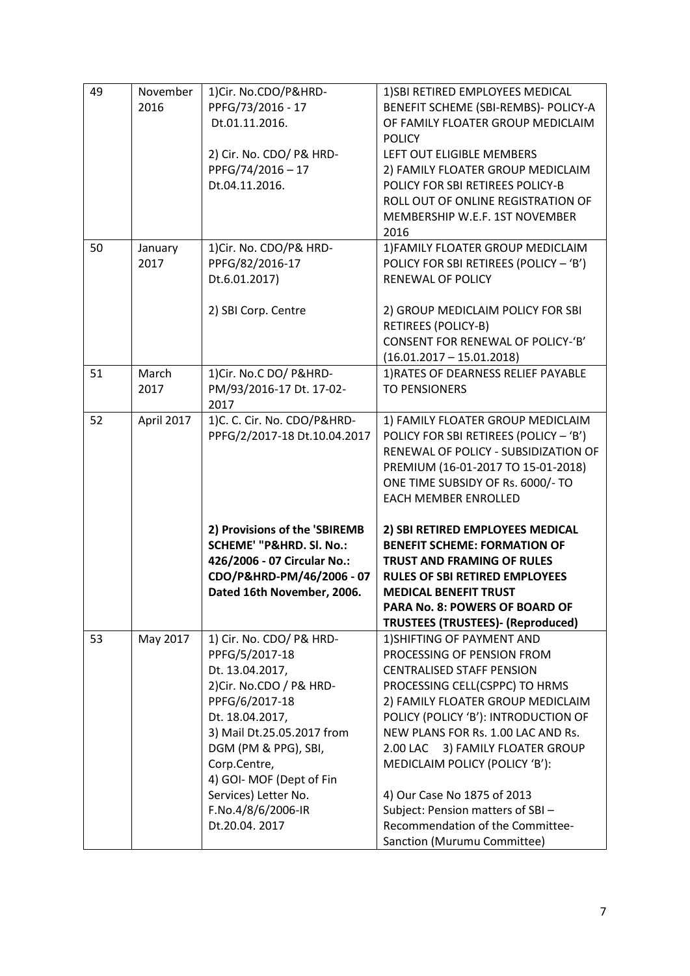| 49 | November<br>2016 | 1) Cir. No.CDO/P&HRD-<br>PPFG/73/2016 - 17<br>Dt.01.11.2016.<br>2) Cir. No. CDO/ P& HRD-<br>PPFG/74/2016-17<br>Dt.04.11.2016.                                                                                                                                                                    | 1) SBI RETIRED EMPLOYEES MEDICAL<br>BENEFIT SCHEME (SBI-REMBS)- POLICY-A<br>OF FAMILY FLOATER GROUP MEDICLAIM<br><b>POLICY</b><br>LEFT OUT ELIGIBLE MEMBERS<br>2) FAMILY FLOATER GROUP MEDICLAIM<br>POLICY FOR SBI RETIREES POLICY-B<br>ROLL OUT OF ONLINE REGISTRATION OF<br>MEMBERSHIP W.E.F. 1ST NOVEMBER<br>2016                                                                                                                                          |
|----|------------------|--------------------------------------------------------------------------------------------------------------------------------------------------------------------------------------------------------------------------------------------------------------------------------------------------|---------------------------------------------------------------------------------------------------------------------------------------------------------------------------------------------------------------------------------------------------------------------------------------------------------------------------------------------------------------------------------------------------------------------------------------------------------------|
| 50 | January<br>2017  | 1) Cir. No. CDO/P& HRD-<br>PPFG/82/2016-17<br>Dt.6.01.2017)<br>2) SBI Corp. Centre                                                                                                                                                                                                               | 1) FAMILY FLOATER GROUP MEDICLAIM<br>POLICY FOR SBI RETIREES (POLICY - 'B')<br><b>RENEWAL OF POLICY</b><br>2) GROUP MEDICLAIM POLICY FOR SBI<br><b>RETIREES (POLICY-B)</b><br>CONSENT FOR RENEWAL OF POLICY-'B'<br>$(16.01.2017 - 15.01.2018)$                                                                                                                                                                                                                |
| 51 | March<br>2017    | 1) Cir. No.C DO/ P&HRD-<br>PM/93/2016-17 Dt. 17-02-<br>2017                                                                                                                                                                                                                                      | 1) RATES OF DEARNESS RELIEF PAYABLE<br><b>TO PENSIONERS</b>                                                                                                                                                                                                                                                                                                                                                                                                   |
| 52 | April 2017       | 1)C. C. Cir. No. CDO/P&HRD-<br>PPFG/2/2017-18 Dt.10.04.2017<br>2) Provisions of the 'SBIREMB<br><b>SCHEME' "P&amp;HRD. SI. No.:</b><br>426/2006 - 07 Circular No.:<br>CDO/P&HRD-PM/46/2006 - 07<br>Dated 16th November, 2006.                                                                    | 1) FAMILY FLOATER GROUP MEDICLAIM<br>POLICY FOR SBI RETIREES (POLICY - 'B')<br>RENEWAL OF POLICY - SUBSIDIZATION OF<br>PREMIUM (16-01-2017 TO 15-01-2018)<br>ONE TIME SUBSIDY OF Rs. 6000/- TO<br><b>EACH MEMBER ENROLLED</b><br>2) SBI RETIRED EMPLOYEES MEDICAL<br><b>BENEFIT SCHEME: FORMATION OF</b><br><b>TRUST AND FRAMING OF RULES</b><br><b>RULES OF SBI RETIRED EMPLOYEES</b><br><b>MEDICAL BENEFIT TRUST</b>                                        |
|    |                  |                                                                                                                                                                                                                                                                                                  | PARA No. 8: POWERS OF BOARD OF<br><b>TRUSTEES (TRUSTEES)- (Reproduced)</b>                                                                                                                                                                                                                                                                                                                                                                                    |
| 53 | May 2017         | 1) Cir. No. CDO/ P& HRD-<br>PPFG/5/2017-18<br>Dt. 13.04.2017,<br>2) Cir. No.CDO / P& HRD-<br>PPFG/6/2017-18<br>Dt. 18.04.2017,<br>3) Mail Dt.25.05.2017 from<br>DGM (PM & PPG), SBI,<br>Corp.Centre,<br>4) GOI- MOF (Dept of Fin<br>Services) Letter No.<br>F.No.4/8/6/2006-IR<br>Dt.20.04. 2017 | 1) SHIFTING OF PAYMENT AND<br>PROCESSING OF PENSION FROM<br><b>CENTRALISED STAFF PENSION</b><br>PROCESSING CELL(CSPPC) TO HRMS<br>2) FAMILY FLOATER GROUP MEDICLAIM<br>POLICY (POLICY 'B'): INTRODUCTION OF<br>NEW PLANS FOR Rs. 1.00 LAC AND Rs.<br>2.00 LAC 3) FAMILY FLOATER GROUP<br>MEDICLAIM POLICY (POLICY 'B'):<br>4) Our Case No 1875 of 2013<br>Subject: Pension matters of SBI-<br>Recommendation of the Committee-<br>Sanction (Murumu Committee) |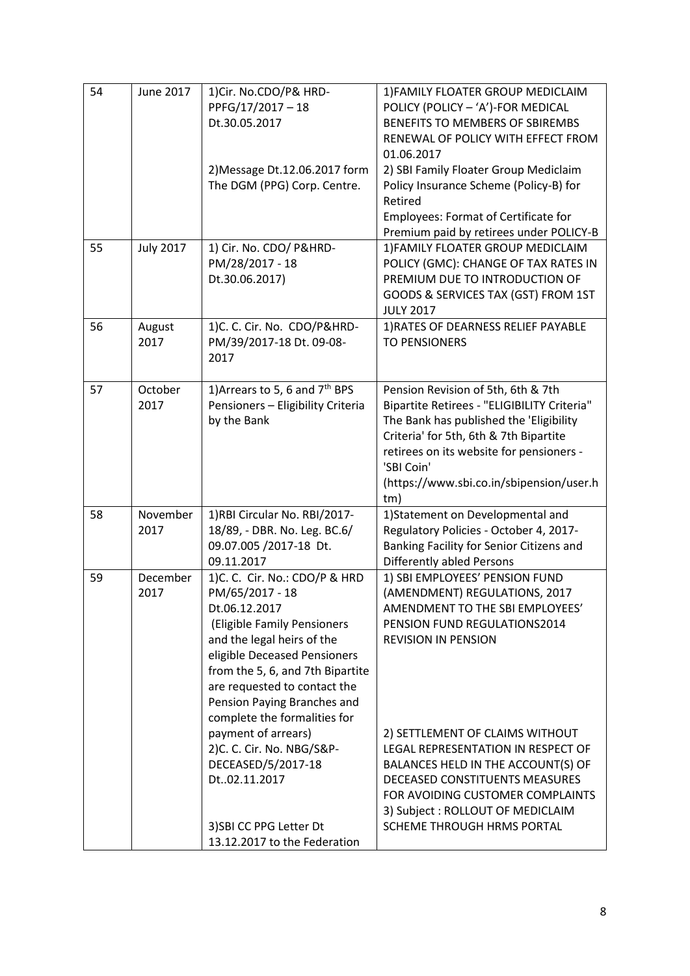| 54 | <b>June 2017</b> | 1) Cir. No.CDO/P& HRD-                     | 1) FAMILY FLOATER GROUP MEDICLAIM           |
|----|------------------|--------------------------------------------|---------------------------------------------|
|    |                  | PPFG/17/2017-18                            | POLICY (POLICY - 'A')-FOR MEDICAL           |
|    |                  | Dt.30.05.2017                              | BENEFITS TO MEMBERS OF SBIREMBS             |
|    |                  |                                            | RENEWAL OF POLICY WITH EFFECT FROM          |
|    |                  |                                            | 01.06.2017                                  |
|    |                  | 2) Message Dt.12.06.2017 form              | 2) SBI Family Floater Group Mediclaim       |
|    |                  | The DGM (PPG) Corp. Centre.                | Policy Insurance Scheme (Policy-B) for      |
|    |                  |                                            | Retired                                     |
|    |                  |                                            | <b>Employees: Format of Certificate for</b> |
|    |                  |                                            | Premium paid by retirees under POLICY-B     |
| 55 | <b>July 2017</b> | 1) Cir. No. CDO/ P&HRD-                    | 1) FAMILY FLOATER GROUP MEDICLAIM           |
|    |                  | PM/28/2017 - 18                            | POLICY (GMC): CHANGE OF TAX RATES IN        |
|    |                  | Dt.30.06.2017)                             | PREMIUM DUE TO INTRODUCTION OF              |
|    |                  |                                            | GOODS & SERVICES TAX (GST) FROM 1ST         |
|    |                  |                                            | <b>JULY 2017</b>                            |
| 56 | August           | 1)C. C. Cir. No. CDO/P&HRD-                | 1) RATES OF DEARNESS RELIEF PAYABLE         |
|    | 2017             | PM/39/2017-18 Dt. 09-08-                   | <b>TO PENSIONERS</b>                        |
|    |                  | 2017                                       |                                             |
|    |                  |                                            |                                             |
| 57 | October          | 1) Arrears to 5, 6 and 7 <sup>th</sup> BPS | Pension Revision of 5th, 6th & 7th          |
|    | 2017             | Pensioners - Eligibility Criteria          | Bipartite Retirees - "ELIGIBILITY Criteria" |
|    |                  | by the Bank                                | The Bank has published the 'Eligibility     |
|    |                  |                                            | Criteria' for 5th, 6th & 7th Bipartite      |
|    |                  |                                            | retirees on its website for pensioners -    |
|    |                  |                                            | 'SBI Coin'                                  |
|    |                  |                                            | (https://www.sbi.co.in/sbipension/user.h    |
|    |                  |                                            | tm)                                         |
| 58 | November         | 1)RBI Circular No. RBI/2017-               | 1) Statement on Developmental and           |
|    | 2017             | 18/89, - DBR. No. Leg. BC.6/               | Regulatory Policies - October 4, 2017-      |
|    |                  | 09.07.005 /2017-18 Dt.                     | Banking Facility for Senior Citizens and    |
|    |                  | 09.11.2017                                 | <b>Differently abled Persons</b>            |
| 59 | December         | 1)C. C. Cir. No.: CDO/P & HRD              | 1) SBI EMPLOYEES' PENSION FUND              |
|    | 2017             | PM/65/2017 - 18                            | (AMENDMENT) REGULATIONS, 2017               |
|    |                  | Dt.06.12.2017                              | AMENDMENT TO THE SBI EMPLOYEES'             |
|    |                  | (Eligible Family Pensioners                | PENSION FUND REGULATIONS2014                |
|    |                  | and the legal heirs of the                 | <b>REVISION IN PENSION</b>                  |
|    |                  | eligible Deceased Pensioners               |                                             |
|    |                  | from the 5, 6, and 7th Bipartite           |                                             |
|    |                  | are requested to contact the               |                                             |
|    |                  | Pension Paying Branches and                |                                             |
|    |                  | complete the formalities for               |                                             |
|    |                  | payment of arrears)                        | 2) SETTLEMENT OF CLAIMS WITHOUT             |
|    |                  | 2)C. C. Cir. No. NBG/S&P-                  | LEGAL REPRESENTATION IN RESPECT OF          |
|    |                  | DECEASED/5/2017-18                         | BALANCES HELD IN THE ACCOUNT(S) OF          |
|    |                  | Dt02.11.2017                               | DECEASED CONSTITUENTS MEASURES              |
|    |                  |                                            | FOR AVOIDING CUSTOMER COMPLAINTS            |
|    |                  |                                            | 3) Subject: ROLLOUT OF MEDICLAIM            |
|    |                  | 3) SBI CC PPG Letter Dt                    | SCHEME THROUGH HRMS PORTAL                  |
|    |                  | 13.12.2017 to the Federation               |                                             |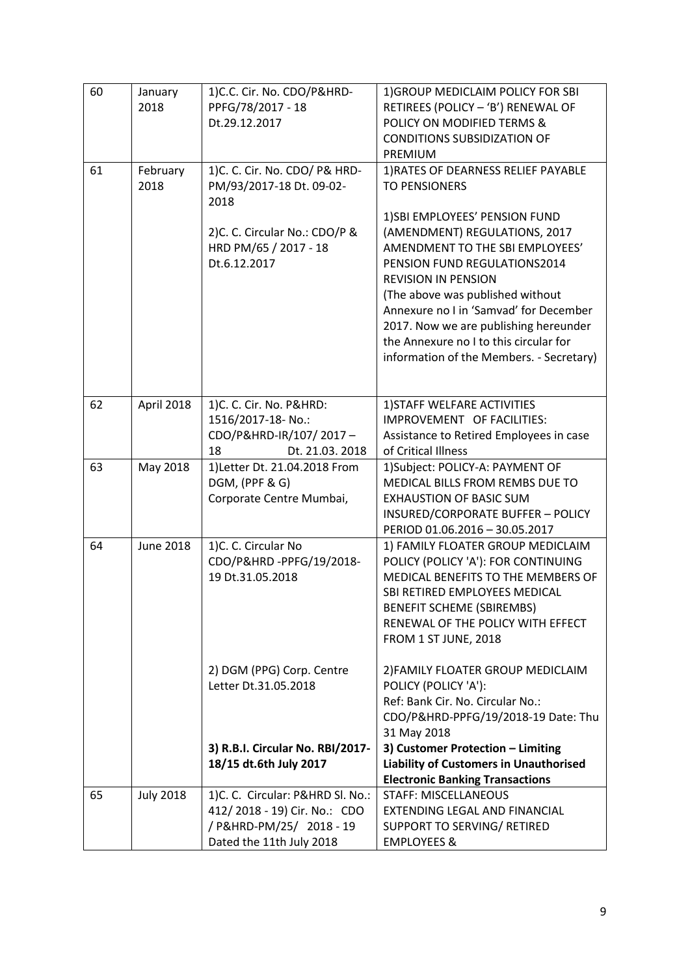| 60 | January<br>2018  | 1) C.C. Cir. No. CDO/P&HRD-<br>PPFG/78/2017 - 18<br>Dt.29.12.2017                                                        | 1) GROUP MEDICLAIM POLICY FOR SBI<br>RETIREES (POLICY - 'B') RENEWAL OF<br>POLICY ON MODIFIED TERMS &<br><b>CONDITIONS SUBSIDIZATION OF</b><br>PREMIUM                                                                                                                                                                                      |
|----|------------------|--------------------------------------------------------------------------------------------------------------------------|---------------------------------------------------------------------------------------------------------------------------------------------------------------------------------------------------------------------------------------------------------------------------------------------------------------------------------------------|
| 61 | February<br>2018 | 1) C. C. Cir. No. CDO/ P& HRD-<br>PM/93/2017-18 Dt. 09-02-<br>2018                                                       | 1) RATES OF DEARNESS RELIEF PAYABLE<br><b>TO PENSIONERS</b><br>1) SBI EMPLOYEES' PENSION FUND                                                                                                                                                                                                                                               |
|    |                  | 2)C. C. Circular No.: CDO/P &<br>HRD PM/65 / 2017 - 18<br>Dt.6.12.2017                                                   | (AMENDMENT) REGULATIONS, 2017<br>AMENDMENT TO THE SBI EMPLOYEES'<br>PENSION FUND REGULATIONS2014<br><b>REVISION IN PENSION</b><br>(The above was published without<br>Annexure no I in 'Samvad' for December<br>2017. Now we are publishing hereunder<br>the Annexure no I to this circular for<br>information of the Members. - Secretary) |
| 62 | April 2018       | 1)C. C. Cir. No. P&HRD:<br>1516/2017-18- No.:<br>CDO/P&HRD-IR/107/2017-<br>Dt. 21.03. 2018<br>18                         | 1) STAFF WELFARE ACTIVITIES<br>IMPROVEMENT OF FACILITIES:<br>Assistance to Retired Employees in case<br>of Critical Illness                                                                                                                                                                                                                 |
| 63 | May 2018         | 1) Letter Dt. 21.04.2018 From<br>DGM, (PPF & G)<br>Corporate Centre Mumbai,                                              | 1)Subject: POLICY-A: PAYMENT OF<br>MEDICAL BILLS FROM REMBS DUE TO<br><b>EXHAUSTION OF BASIC SUM</b><br>INSURED/CORPORATE BUFFER - POLICY<br>PERIOD 01.06.2016 - 30.05.2017                                                                                                                                                                 |
| 64 | <b>June 2018</b> | 1)C. C. Circular No<br>CDO/P&HRD-PPFG/19/2018-<br>19 Dt.31.05.2018                                                       | 1) FAMILY FLOATER GROUP MEDICLAIM<br>POLICY (POLICY 'A'): FOR CONTINUING<br>MEDICAL BENEFITS TO THE MEMBERS OF<br>SBI RETIRED EMPLOYEES MEDICAL<br><b>BENEFIT SCHEME (SBIREMBS)</b><br>RENEWAL OF THE POLICY WITH EFFECT<br>FROM 1 ST JUNE, 2018                                                                                            |
|    |                  | 2) DGM (PPG) Corp. Centre<br>Letter Dt.31.05.2018                                                                        | 2) FAMILY FLOATER GROUP MEDICLAIM<br>POLICY (POLICY 'A'):<br>Ref: Bank Cir. No. Circular No.:<br>CDO/P&HRD-PPFG/19/2018-19 Date: Thu<br>31 May 2018                                                                                                                                                                                         |
|    |                  | 3) R.B.I. Circular No. RBI/2017-<br>18/15 dt.6th July 2017                                                               | 3) Customer Protection - Limiting<br><b>Liability of Customers in Unauthorised</b><br><b>Electronic Banking Transactions</b>                                                                                                                                                                                                                |
| 65 | <b>July 2018</b> | 1)C. C. Circular: P&HRD Sl. No.:<br>412/2018 - 19) Cir. No.: CDO<br>/ P&HRD-PM/25/ 2018 - 19<br>Dated the 11th July 2018 | <b>STAFF: MISCELLANEOUS</b><br>EXTENDING LEGAL AND FINANCIAL<br>SUPPORT TO SERVING/ RETIRED<br><b>EMPLOYEES &amp;</b>                                                                                                                                                                                                                       |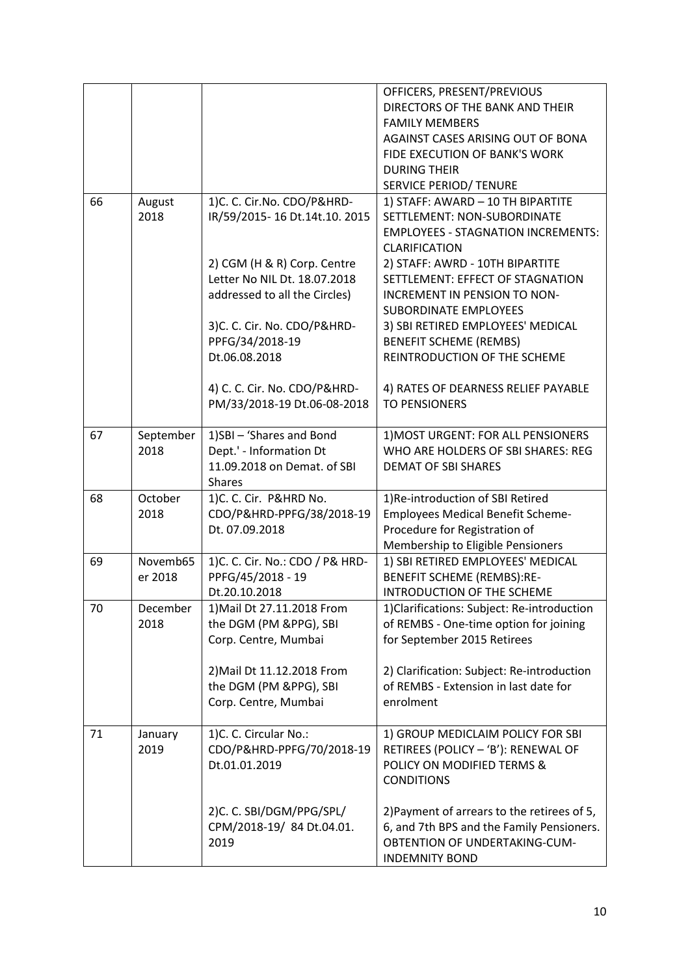|    |                     |                                                                                                                                                                                                                                                                                               | OFFICERS, PRESENT/PREVIOUS<br>DIRECTORS OF THE BANK AND THEIR<br><b>FAMILY MEMBERS</b><br>AGAINST CASES ARISING OUT OF BONA<br>FIDE EXECUTION OF BANK'S WORK<br><b>DURING THEIR</b><br>SERVICE PERIOD/ TENURE                                                                                                                                                                                                                                     |
|----|---------------------|-----------------------------------------------------------------------------------------------------------------------------------------------------------------------------------------------------------------------------------------------------------------------------------------------|---------------------------------------------------------------------------------------------------------------------------------------------------------------------------------------------------------------------------------------------------------------------------------------------------------------------------------------------------------------------------------------------------------------------------------------------------|
| 66 | August<br>2018      | 1)C. C. Cir.No. CDO/P&HRD-<br>IR/59/2015-16 Dt.14t.10. 2015<br>2) CGM (H & R) Corp. Centre<br>Letter No NIL Dt. 18.07.2018<br>addressed to all the Circles)<br>3)C. C. Cir. No. CDO/P&HRD-<br>PPFG/34/2018-19<br>Dt.06.08.2018<br>4) C. C. Cir. No. CDO/P&HRD-<br>PM/33/2018-19 Dt.06-08-2018 | 1) STAFF: AWARD - 10 TH BIPARTITE<br>SETTLEMENT: NON-SUBORDINATE<br><b>EMPLOYEES - STAGNATION INCREMENTS:</b><br><b>CLARIFICATION</b><br>2) STAFF: AWRD - 10TH BIPARTITE<br>SETTLEMENT: EFFECT OF STAGNATION<br>INCREMENT IN PENSION TO NON-<br><b>SUBORDINATE EMPLOYEES</b><br>3) SBI RETIRED EMPLOYEES' MEDICAL<br><b>BENEFIT SCHEME (REMBS)</b><br>REINTRODUCTION OF THE SCHEME<br>4) RATES OF DEARNESS RELIEF PAYABLE<br><b>TO PENSIONERS</b> |
| 67 | September<br>2018   | 1)SBI - 'Shares and Bond<br>Dept.' - Information Dt<br>11.09.2018 on Demat. of SBI<br><b>Shares</b>                                                                                                                                                                                           | 1) MOST URGENT: FOR ALL PENSIONERS<br>WHO ARE HOLDERS OF SBI SHARES: REG<br><b>DEMAT OF SBI SHARES</b>                                                                                                                                                                                                                                                                                                                                            |
| 68 | October<br>2018     | 1)C. C. Cir. P&HRD No.<br>CDO/P&HRD-PPFG/38/2018-19<br>Dt. 07.09.2018                                                                                                                                                                                                                         | 1)Re-introduction of SBI Retired<br><b>Employees Medical Benefit Scheme-</b><br>Procedure for Registration of<br>Membership to Eligible Pensioners                                                                                                                                                                                                                                                                                                |
| 69 | Novemb65<br>er 2018 | 1) C. C. Cir. No.: CDO / P& HRD-<br>PPFG/45/2018 - 19<br>Dt.20.10.2018                                                                                                                                                                                                                        | 1) SBI RETIRED EMPLOYEES' MEDICAL<br><b>BENEFIT SCHEME (REMBS):RE-</b><br>INTRODUCTION OF THE SCHEME                                                                                                                                                                                                                                                                                                                                              |
| 70 | December<br>2018    | 1) Mail Dt 27.11.2018 From<br>the DGM (PM &PPG), SBI<br>Corp. Centre, Mumbai<br>2) Mail Dt 11.12.2018 From<br>the DGM (PM &PPG), SBI<br>Corp. Centre, Mumbai                                                                                                                                  | 1) Clarifications: Subject: Re-introduction<br>of REMBS - One-time option for joining<br>for September 2015 Retirees<br>2) Clarification: Subject: Re-introduction<br>of REMBS - Extension in last date for<br>enrolment                                                                                                                                                                                                                          |
| 71 | January<br>2019     | 1)C. C. Circular No.:<br>CDO/P&HRD-PPFG/70/2018-19<br>Dt.01.01.2019                                                                                                                                                                                                                           | 1) GROUP MEDICLAIM POLICY FOR SBI<br>RETIREES (POLICY - 'B'): RENEWAL OF<br>POLICY ON MODIFIED TERMS &<br><b>CONDITIONS</b>                                                                                                                                                                                                                                                                                                                       |
|    |                     | 2)C. C. SBI/DGM/PPG/SPL/<br>CPM/2018-19/84 Dt.04.01.<br>2019                                                                                                                                                                                                                                  | 2) Payment of arrears to the retirees of 5,<br>6, and 7th BPS and the Family Pensioners.<br>OBTENTION OF UNDERTAKING-CUM-<br><b>INDEMNITY BOND</b>                                                                                                                                                                                                                                                                                                |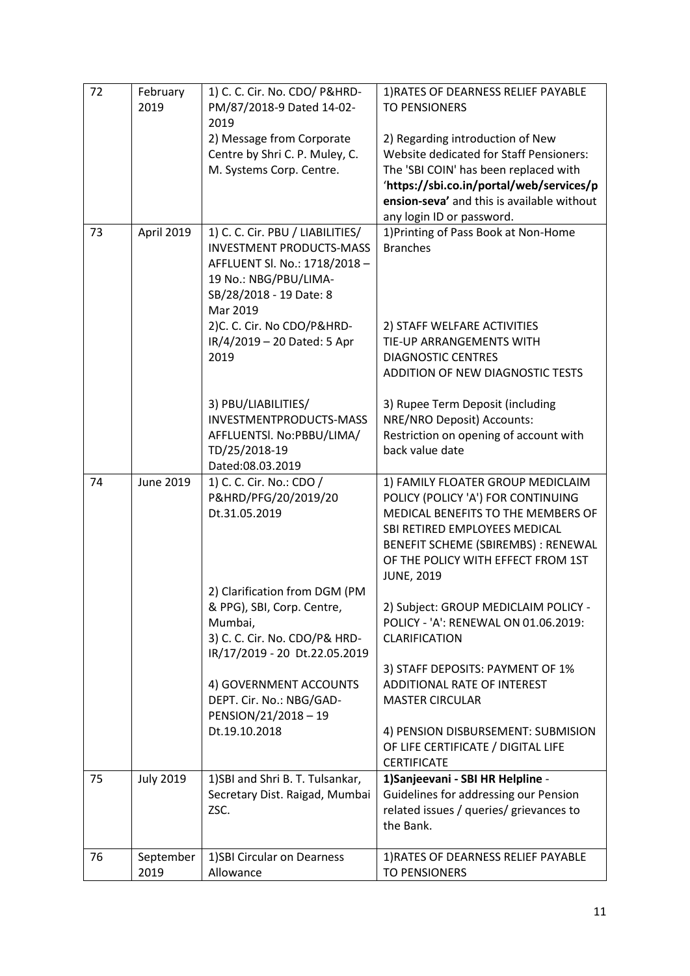| 72 | February<br>2019 | 1) C. C. Cir. No. CDO/ P&HRD-<br>PM/87/2018-9 Dated 14-02-        | 1) RATES OF DEARNESS RELIEF PAYABLE<br><b>TO PENSIONERS</b>                            |
|----|------------------|-------------------------------------------------------------------|----------------------------------------------------------------------------------------|
|    |                  | 2019                                                              |                                                                                        |
|    |                  | 2) Message from Corporate                                         | 2) Regarding introduction of New                                                       |
|    |                  | Centre by Shri C. P. Muley, C.                                    | <b>Website dedicated for Staff Pensioners:</b>                                         |
|    |                  | M. Systems Corp. Centre.                                          | The 'SBI COIN' has been replaced with                                                  |
|    |                  |                                                                   | 'https://sbi.co.in/portal/web/services/p<br>ension-seva' and this is available without |
|    |                  |                                                                   | any login ID or password.                                                              |
| 73 | April 2019       | 1) C. C. Cir. PBU / LIABILITIES/                                  | 1) Printing of Pass Book at Non-Home                                                   |
|    |                  | <b>INVESTMENT PRODUCTS-MASS</b>                                   | <b>Branches</b>                                                                        |
|    |                  | AFFLUENT Sl. No.: 1718/2018 -                                     |                                                                                        |
|    |                  | 19 No.: NBG/PBU/LIMA-                                             |                                                                                        |
|    |                  | SB/28/2018 - 19 Date: 8                                           |                                                                                        |
|    |                  | Mar 2019<br>2)C. C. Cir. No CDO/P&HRD-                            | 2) STAFF WELFARE ACTIVITIES                                                            |
|    |                  | IR/4/2019 - 20 Dated: 5 Apr                                       | TIE-UP ARRANGEMENTS WITH                                                               |
|    |                  | 2019                                                              | <b>DIAGNOSTIC CENTRES</b>                                                              |
|    |                  |                                                                   | ADDITION OF NEW DIAGNOSTIC TESTS                                                       |
|    |                  |                                                                   |                                                                                        |
|    |                  | 3) PBU/LIABILITIES/                                               | 3) Rupee Term Deposit (including                                                       |
|    |                  | INVESTMENTPRODUCTS-MASS                                           | <b>NRE/NRO Deposit) Accounts:</b>                                                      |
|    |                  | AFFLUENTSI. No:PBBU/LIMA/<br>TD/25/2018-19                        | Restriction on opening of account with<br>back value date                              |
|    |                  | Dated:08.03.2019                                                  |                                                                                        |
| 74 | <b>June 2019</b> | 1) C. C. Cir. No.: CDO /                                          | 1) FAMILY FLOATER GROUP MEDICLAIM                                                      |
|    |                  | P&HRD/PFG/20/2019/20                                              | POLICY (POLICY 'A') FOR CONTINUING                                                     |
|    |                  | Dt.31.05.2019                                                     | MEDICAL BENEFITS TO THE MEMBERS OF                                                     |
|    |                  |                                                                   | SBI RETIRED EMPLOYEES MEDICAL                                                          |
|    |                  |                                                                   | BENEFIT SCHEME (SBIREMBS) : RENEWAL<br>OF THE POLICY WITH EFFECT FROM 1ST              |
|    |                  |                                                                   | <b>JUNE, 2019</b>                                                                      |
|    |                  | 2) Clarification from DGM (PM                                     |                                                                                        |
|    |                  | & PPG), SBI, Corp. Centre,                                        | 2) Subject: GROUP MEDICLAIM POLICY -                                                   |
|    |                  | Mumbai,                                                           | POLICY - 'A': RENEWAL ON 01.06.2019:                                                   |
|    |                  | 3) C. C. Cir. No. CDO/P& HRD-<br>IR/17/2019 - 20 Dt.22.05.2019    | CLARIFICATION                                                                          |
|    |                  |                                                                   | 3) STAFF DEPOSITS: PAYMENT OF 1%                                                       |
|    |                  | 4) GOVERNMENT ACCOUNTS                                            | ADDITIONAL RATE OF INTEREST                                                            |
|    |                  | DEPT. Cir. No.: NBG/GAD-                                          | <b>MASTER CIRCULAR</b>                                                                 |
|    |                  | PENSION/21/2018-19                                                |                                                                                        |
|    |                  | Dt.19.10.2018                                                     | 4) PENSION DISBURSEMENT: SUBMISION                                                     |
|    |                  |                                                                   | OF LIFE CERTIFICATE / DIGITAL LIFE                                                     |
|    |                  |                                                                   | <b>CERTIFICATE</b>                                                                     |
| 75 | <b>July 2019</b> | 1)SBI and Shri B. T. Tulsankar,<br>Secretary Dist. Raigad, Mumbai | 1) Sanjeevani - SBI HR Helpline -<br>Guidelines for addressing our Pension             |
|    |                  | ZSC.                                                              | related issues / queries/ grievances to                                                |
|    |                  |                                                                   | the Bank.                                                                              |
|    |                  |                                                                   |                                                                                        |
| 76 | September        | 1) SBI Circular on Dearness                                       | 1) RATES OF DEARNESS RELIEF PAYABLE                                                    |
|    | 2019             | Allowance                                                         | <b>TO PENSIONERS</b>                                                                   |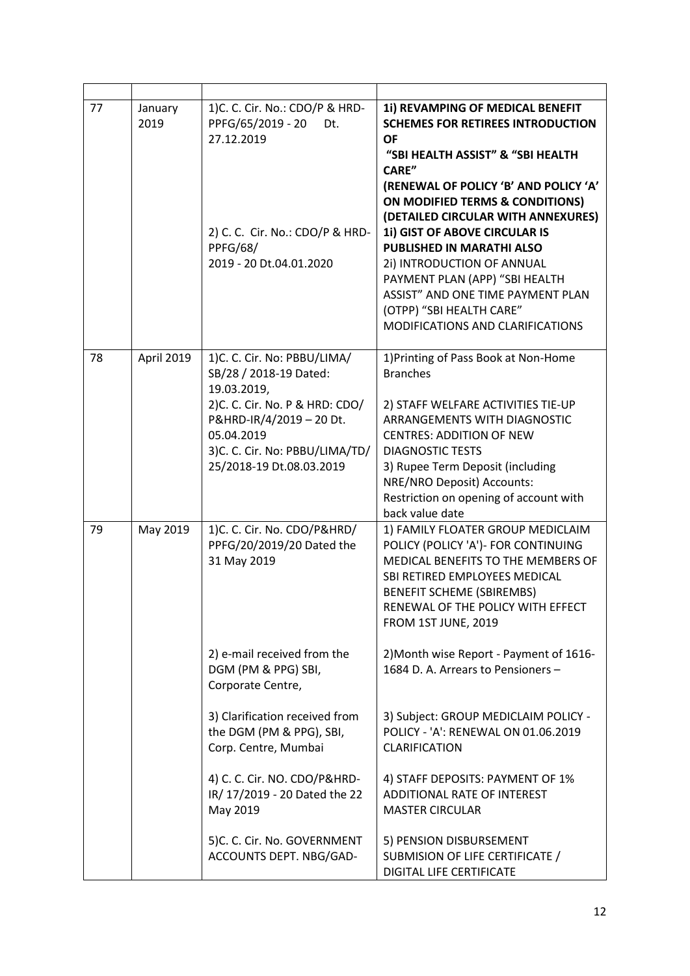| 77 | January<br>2019 | 1) C. C. Cir. No.: CDO/P & HRD-<br>PPFG/65/2019 - 20<br>Dt.<br>27.12.2019<br>2) C. C. Cir. No.: CDO/P & HRD-<br><b>PPFG/68/</b><br>2019 - 20 Dt.04.01.2020                                                                                                                                                                                           | 1i) REVAMPING OF MEDICAL BENEFIT<br><b>SCHEMES FOR RETIREES INTRODUCTION</b><br><b>OF</b><br>"SBI HEALTH ASSIST" & "SBI HEALTH<br>CARE"<br>(RENEWAL OF POLICY 'B' AND POLICY 'A'<br><b>ON MODIFIED TERMS &amp; CONDITIONS)</b><br>(DETAILED CIRCULAR WITH ANNEXURES)<br>1i) GIST OF ABOVE CIRCULAR IS<br>PUBLISHED IN MARATHI ALSO<br>2i) INTRODUCTION OF ANNUAL<br>PAYMENT PLAN (APP) "SBI HEALTH<br>ASSIST" AND ONE TIME PAYMENT PLAN<br>(OTPP) "SBI HEALTH CARE"<br>MODIFICATIONS AND CLARIFICATIONS                                                  |
|----|-----------------|------------------------------------------------------------------------------------------------------------------------------------------------------------------------------------------------------------------------------------------------------------------------------------------------------------------------------------------------------|----------------------------------------------------------------------------------------------------------------------------------------------------------------------------------------------------------------------------------------------------------------------------------------------------------------------------------------------------------------------------------------------------------------------------------------------------------------------------------------------------------------------------------------------------------|
| 78 | April 2019      | 1)C. C. Cir. No: PBBU/LIMA/<br>SB/28 / 2018-19 Dated:<br>19.03.2019,<br>2) C. C. Cir. No. P & HRD: CDO/<br>P&HRD-IR/4/2019 - 20 Dt.<br>05.04.2019<br>3)C. C. Cir. No: PBBU/LIMA/TD/<br>25/2018-19 Dt.08.03.2019                                                                                                                                      | 1) Printing of Pass Book at Non-Home<br><b>Branches</b><br>2) STAFF WELFARE ACTIVITIES TIE-UP<br>ARRANGEMENTS WITH DIAGNOSTIC<br><b>CENTRES: ADDITION OF NEW</b><br><b>DIAGNOSTIC TESTS</b><br>3) Rupee Term Deposit (including<br>NRE/NRO Deposit) Accounts:<br>Restriction on opening of account with<br>back value date                                                                                                                                                                                                                               |
| 79 | May 2019        | 1)C. C. Cir. No. CDO/P&HRD/<br>PPFG/20/2019/20 Dated the<br>31 May 2019<br>2) e-mail received from the<br>DGM (PM & PPG) SBI,<br>Corporate Centre,<br>3) Clarification received from<br>the DGM (PM & PPG), SBI,<br>Corp. Centre, Mumbai<br>4) C. C. Cir. NO. CDO/P&HRD-<br>IR/ 17/2019 - 20 Dated the 22<br>May 2019<br>5)C. C. Cir. No. GOVERNMENT | 1) FAMILY FLOATER GROUP MEDICLAIM<br>POLICY (POLICY 'A')- FOR CONTINUING<br>MEDICAL BENEFITS TO THE MEMBERS OF<br>SBI RETIRED EMPLOYEES MEDICAL<br><b>BENEFIT SCHEME (SBIREMBS)</b><br>RENEWAL OF THE POLICY WITH EFFECT<br>FROM 1ST JUNE, 2019<br>2) Month wise Report - Payment of 1616-<br>1684 D. A. Arrears to Pensioners -<br>3) Subject: GROUP MEDICLAIM POLICY -<br>POLICY - 'A': RENEWAL ON 01.06.2019<br>CLARIFICATION<br>4) STAFF DEPOSITS: PAYMENT OF 1%<br>ADDITIONAL RATE OF INTEREST<br><b>MASTER CIRCULAR</b><br>5) PENSION DISBURSEMENT |
|    |                 | ACCOUNTS DEPT. NBG/GAD-                                                                                                                                                                                                                                                                                                                              | SUBMISION OF LIFE CERTIFICATE /<br>DIGITAL LIFE CERTIFICATE                                                                                                                                                                                                                                                                                                                                                                                                                                                                                              |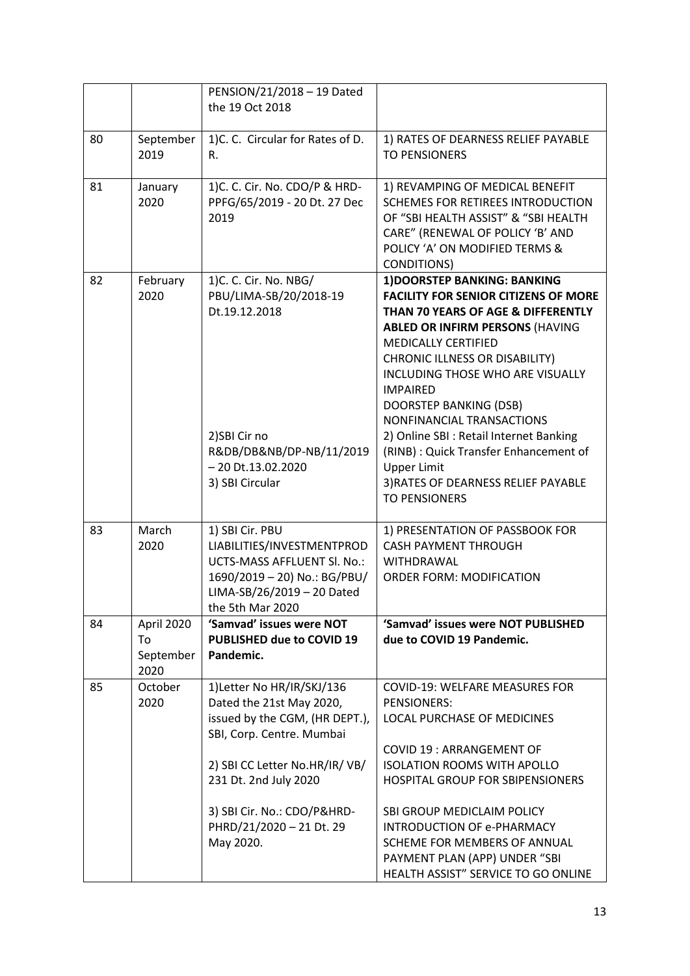|    |                                       | PENSION/21/2018 - 19 Dated<br>the 19 Oct 2018                                                                                                                                   |                                                                                                                                                                                                                                                                                                                                                                                                                                                                                                                            |
|----|---------------------------------------|---------------------------------------------------------------------------------------------------------------------------------------------------------------------------------|----------------------------------------------------------------------------------------------------------------------------------------------------------------------------------------------------------------------------------------------------------------------------------------------------------------------------------------------------------------------------------------------------------------------------------------------------------------------------------------------------------------------------|
| 80 | September<br>2019                     | 1)C. C. Circular for Rates of D.<br>R.                                                                                                                                          | 1) RATES OF DEARNESS RELIEF PAYABLE<br><b>TO PENSIONERS</b>                                                                                                                                                                                                                                                                                                                                                                                                                                                                |
| 81 | January<br>2020                       | 1) C. C. Cir. No. CDO/P & HRD-<br>PPFG/65/2019 - 20 Dt. 27 Dec<br>2019                                                                                                          | 1) REVAMPING OF MEDICAL BENEFIT<br>SCHEMES FOR RETIREES INTRODUCTION<br>OF "SBI HEALTH ASSIST" & "SBI HEALTH<br>CARE" (RENEWAL OF POLICY 'B' AND<br>POLICY 'A' ON MODIFIED TERMS &<br><b>CONDITIONS)</b>                                                                                                                                                                                                                                                                                                                   |
| 82 | February<br>2020                      | 1) C. C. Cir. No. NBG/<br>PBU/LIMA-SB/20/2018-19<br>Dt.19.12.2018<br>2)SBI Cir no<br>R&DB/DB&NB/DP-NB/11/2019<br>$-20$ Dt.13.02.2020<br>3) SBI Circular                         | 1) DOORSTEP BANKING: BANKING<br><b>FACILITY FOR SENIOR CITIZENS OF MORE</b><br>THAN 70 YEARS OF AGE & DIFFERENTLY<br><b>ABLED OR INFIRM PERSONS (HAVING</b><br><b>MEDICALLY CERTIFIED</b><br>CHRONIC ILLNESS OR DISABILITY)<br>INCLUDING THOSE WHO ARE VISUALLY<br><b>IMPAIRED</b><br><b>DOORSTEP BANKING (DSB)</b><br>NONFINANCIAL TRANSACTIONS<br>2) Online SBI : Retail Internet Banking<br>(RINB) : Quick Transfer Enhancement of<br><b>Upper Limit</b><br>3) RATES OF DEARNESS RELIEF PAYABLE<br><b>TO PENSIONERS</b> |
| 83 | March<br>2020                         | 1) SBI Cir. PBU<br>LIABILITIES/INVESTMENTPROD<br>UCTS-MASS AFFLUENT SI. No.:<br>1690/2019 - 20) No.: BG/PBU/<br>LIMA-SB/26/2019 - 20 Dated<br>the 5th Mar 2020                  | 1) PRESENTATION OF PASSBOOK FOR<br><b>CASH PAYMENT THROUGH</b><br>WITHDRAWAL<br><b>ORDER FORM: MODIFICATION</b>                                                                                                                                                                                                                                                                                                                                                                                                            |
| 84 | April 2020<br>To<br>September<br>2020 | 'Samvad' issues were NOT<br>PUBLISHED due to COVID 19<br>Pandemic.                                                                                                              | 'Samvad' issues were NOT PUBLISHED<br>due to COVID 19 Pandemic.                                                                                                                                                                                                                                                                                                                                                                                                                                                            |
| 85 | October<br>2020                       | 1) Letter No HR/IR/SKJ/136<br>Dated the 21st May 2020,<br>issued by the CGM, (HR DEPT.),<br>SBI, Corp. Centre. Mumbai<br>2) SBI CC Letter No.HR/IR/VB/<br>231 Dt. 2nd July 2020 | <b>COVID-19: WELFARE MEASURES FOR</b><br>PENSIONERS:<br><b>LOCAL PURCHASE OF MEDICINES</b><br><b>COVID 19: ARRANGEMENT OF</b><br><b>ISOLATION ROOMS WITH APOLLO</b><br>HOSPITAL GROUP FOR SBIPENSIONERS                                                                                                                                                                                                                                                                                                                    |
|    |                                       | 3) SBI Cir. No.: CDO/P&HRD-<br>PHRD/21/2020 - 21 Dt. 29<br>May 2020.                                                                                                            | SBI GROUP MEDICLAIM POLICY<br>INTRODUCTION OF e-PHARMACY<br>SCHEME FOR MEMBERS OF ANNUAL<br>PAYMENT PLAN (APP) UNDER "SBI<br>HEALTH ASSIST" SERVICE TO GO ONLINE                                                                                                                                                                                                                                                                                                                                                           |